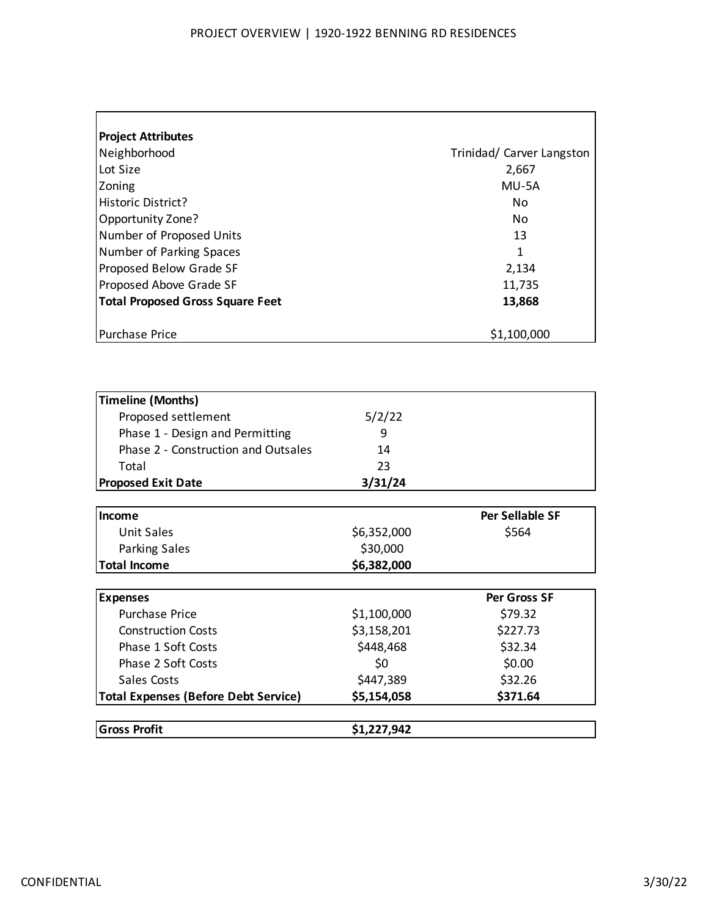| <b>Project Attributes</b>               |                           |
|-----------------------------------------|---------------------------|
| Neighborhood                            | Trinidad/ Carver Langston |
| Lot Size                                | 2,667                     |
| Zoning                                  | MU-5A                     |
| Historic District?                      | No.                       |
| Opportunity Zone?                       | No                        |
| Number of Proposed Units                | 13                        |
| Number of Parking Spaces                | 1                         |
| Proposed Below Grade SF                 | 2,134                     |
| Proposed Above Grade SF                 | 11,735                    |
| <b>Total Proposed Gross Square Feet</b> | 13,868                    |
|                                         |                           |
| <b>Purchase Price</b>                   | \$1,100,000               |

| <b>Gross Profit</b>                         | \$1,227,942 |                        |
|---------------------------------------------|-------------|------------------------|
| <b>Total Expenses (Before Debt Service)</b> | \$5,154,058 | \$371.64               |
| Sales Costs                                 | \$447,389   | \$32.26                |
| Phase 2 Soft Costs                          | \$0         | \$0.00                 |
| Phase 1 Soft Costs                          | \$448,468   | \$32.34                |
| <b>Construction Costs</b>                   | \$3,158,201 | \$227.73               |
| <b>Purchase Price</b>                       | \$1,100,000 | \$79.32                |
| <b>Expenses</b>                             |             | <b>Per Gross SF</b>    |
|                                             |             |                        |
| <b>Total Income</b>                         | \$6,382,000 |                        |
| <b>Parking Sales</b>                        | \$30,000    |                        |
| Unit Sales                                  | \$6,352,000 | \$564                  |
| Income                                      |             | <b>Per Sellable SF</b> |
| <b>Proposed Exit Date</b>                   | 3/31/24     |                        |
| Total                                       | 23          |                        |
| Phase 2 - Construction and Outsales         | 14          |                        |
| Phase 1 - Design and Permitting             | 9           |                        |
| Proposed settlement                         | 5/2/22      |                        |
| <b>Timeline (Months)</b>                    |             |                        |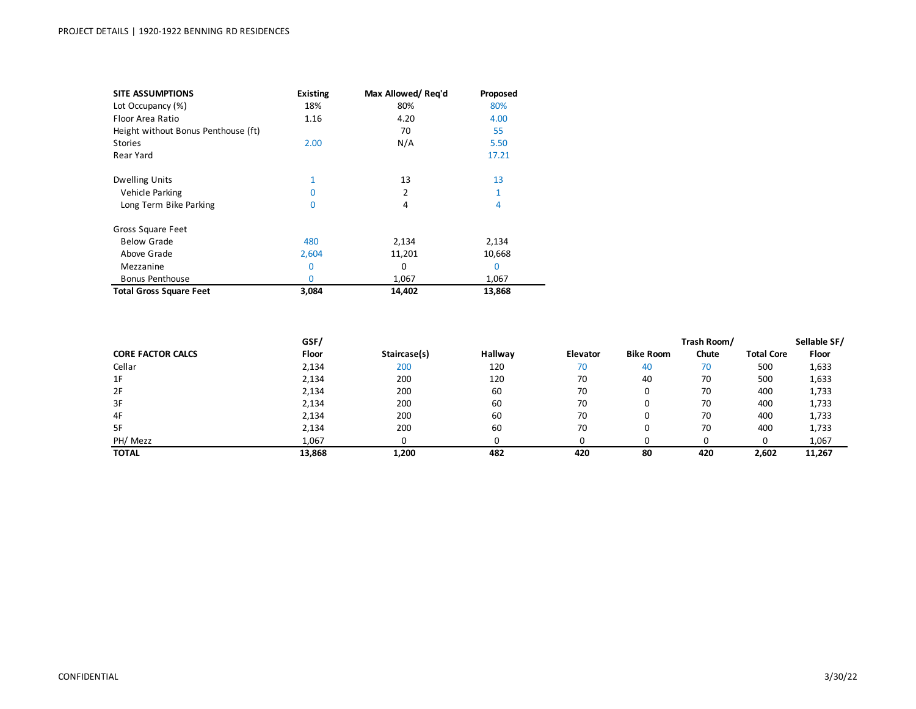| <b>SITE ASSUMPTIONS</b>             | <b>Existing</b> | Max Allowed/Reg'd | Proposed |
|-------------------------------------|-----------------|-------------------|----------|
| Lot Occupancy (%)                   | 18%             | 80%               | 80%      |
| Floor Area Ratio                    | 1.16            | 4.20              | 4.00     |
| Height without Bonus Penthouse (ft) |                 | 70                | 55       |
| <b>Stories</b>                      | 2.00            | N/A               | 5.50     |
| Rear Yard                           |                 |                   | 17.21    |
| <b>Dwelling Units</b>               | 1               | 13                | 13       |
| Vehicle Parking                     | O               | 2                 |          |
| Long Term Bike Parking              | 0               | 4                 | 4        |
| Gross Square Feet                   |                 |                   |          |
| <b>Below Grade</b>                  | 480             | 2,134             | 2,134    |
| Above Grade                         | 2,604           | 11,201            | 10,668   |
| Mezzanine                           | $\mathbf{0}$    | 0                 | $\Omega$ |
| <b>Bonus Penthouse</b>              | 0               | 1,067             | 1,067    |
| <b>Total Gross Square Feet</b>      | 3,084           | 14,402            | 13,868   |

|                          | GSF/         |              |         |          |                  | Trash Room/ |                   | Sellable SF/ |
|--------------------------|--------------|--------------|---------|----------|------------------|-------------|-------------------|--------------|
| <b>CORE FACTOR CALCS</b> | <b>Floor</b> | Staircase(s) | Hallway | Elevator | <b>Bike Room</b> | Chute       | <b>Total Core</b> | Floor        |
| Cellar                   | 2,134        | 200          | 120     | 70       | 40               | 70          | 500               | 1,633        |
| 1F                       | 2,134        | 200          | 120     | 70       | 40               | 70          | 500               | 1,633        |
| 2F                       | 2,134        | 200          | 60      | 70       | 0                | 70          | 400               | 1,733        |
| 3F                       | 2,134        | 200          | 60      | 70       | 0                | 70          | 400               | 1,733        |
| 4F                       | 2,134        | 200          | 60      | 70       | 0                | 70          | 400               | 1,733        |
| 5F                       | 2,134        | 200          | 60      | 70       |                  | 70          | 400               | 1,733        |
| PH/ Mezz                 | 1,067        |              |         |          |                  |             | 0                 | 1,067        |
| <b>TOTAL</b>             | 13,868       | 1,200        | 482     | 420      | 80               | 420         | 2,602             | 11,267       |

 $\overline{\phantom{0}}$